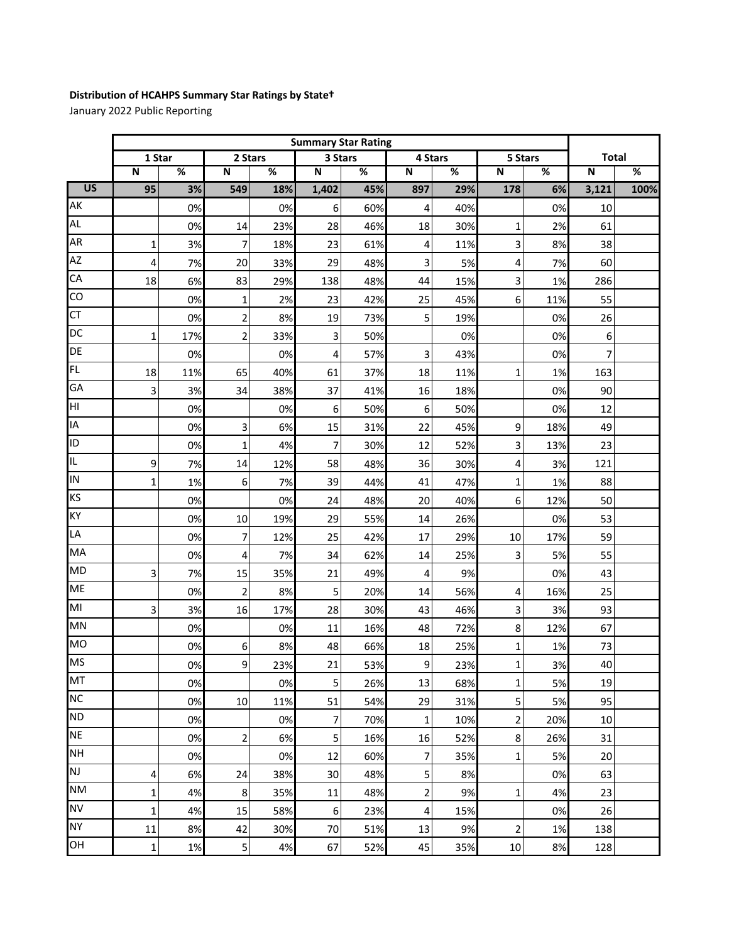## **Distribution of HCAHPS Summary Star Ratings by State†**

January 2022 Public Reporting

|                 | <b>Summary Star Rating</b> |     |                         |     |                         |     |                |     |                         |     |                         |      |
|-----------------|----------------------------|-----|-------------------------|-----|-------------------------|-----|----------------|-----|-------------------------|-----|-------------------------|------|
|                 | 1 Star                     |     | 2 Stars                 |     | 3 Stars                 |     | 4 Stars        |     | 5 Stars                 |     | <b>Total</b>            |      |
|                 | $\overline{\mathsf{N}}$    | %   | $\overline{\mathsf{N}}$ | %   | $\overline{\mathsf{N}}$ | %   | N              | %   | $\overline{\mathsf{N}}$ | %   | $\overline{\mathsf{N}}$ | %    |
| $\overline{US}$ | 95                         | 3%  | 549                     | 18% | 1,402                   | 45% | 897            | 29% | 178                     | 6%  | 3,121                   | 100% |
| AK              |                            | 0%  |                         | 0%  | 6                       | 60% | 4              | 40% |                         | 0%  | 10                      |      |
| <b>AL</b>       |                            | 0%  | 14                      | 23% | 28                      | 46% | 18             | 30% | 1                       | 2%  | 61                      |      |
| AR              | 1                          | 3%  | 7                       | 18% | 23                      | 61% | 4              | 11% | 3                       | 8%  | 38                      |      |
| AZ              | 4                          | 7%  | 20                      | 33% | 29                      | 48% | 3              | 5%  | 4                       | 7%  | 60                      |      |
| CA              | 18                         | 6%  | 83                      | 29% | 138                     | 48% | 44             | 15% | 3                       | 1%  | 286                     |      |
| CO              |                            | 0%  | $\mathbf 1$             | 2%  | 23                      | 42% | 25             | 45% | 6                       | 11% | 55                      |      |
| CT              |                            | 0%  | $\overline{\mathbf{c}}$ | 8%  | 19                      | 73% | 5              | 19% |                         | 0%  | 26                      |      |
| <b>DC</b>       | 1                          | 17% | 2                       | 33% | 3                       | 50% |                | 0%  |                         | 0%  | 6                       |      |
| DE              |                            | 0%  |                         | 0%  | 4                       | 57% | 3              | 43% |                         | 0%  | 7                       |      |
| <b>FL</b>       | 18                         | 11% | 65                      | 40% | 61                      | 37% | 18             | 11% | 1                       | 1%  | 163                     |      |
| GA              | 3                          | 3%  | 34                      | 38% | 37                      | 41% | 16             | 18% |                         | 0%  | 90                      |      |
| HI              |                            | 0%  |                         | 0%  | 6                       | 50% | 6              | 50% |                         | 0%  | 12                      |      |
| IA              |                            | 0%  | 3                       | 6%  | 15                      | 31% | 22             | 45% | 9                       | 18% | 49                      |      |
| ID              |                            | 0%  | $\mathbf 1$             | 4%  | $\overline{7}$          | 30% | 12             | 52% | 3                       | 13% | 23                      |      |
| IL              | 9                          | 7%  | 14                      | 12% | 58                      | 48% | 36             | 30% | 4                       | 3%  | 121                     |      |
| IN              | 1                          | 1%  | 6                       | 7%  | 39                      | 44% | 41             | 47% | $\mathbf{1}$            | 1%  | 88                      |      |
| <b>KS</b>       |                            | 0%  |                         | 0%  | 24                      | 48% | 20             | 40% | 6                       | 12% | 50                      |      |
| KY              |                            | 0%  | 10                      | 19% | 29                      | 55% | 14             | 26% |                         | 0%  | 53                      |      |
| LA              |                            | 0%  | 7                       | 12% | 25                      | 42% | 17             | 29% | 10                      | 17% | 59                      |      |
| MA              |                            | 0%  | 4                       | 7%  | 34                      | 62% | 14             | 25% | 3                       | 5%  | 55                      |      |
| <b>MD</b>       | 3                          | 7%  | 15                      | 35% | 21                      | 49% | 4              | 9%  |                         | 0%  | 43                      |      |
| <b>ME</b>       |                            | 0%  | $\mathbf 2$             | 8%  | 5                       | 20% | 14             | 56% | 4                       | 16% | 25                      |      |
| M <sub>l</sub>  | 3                          | 3%  | 16                      | 17% | 28                      | 30% | 43             | 46% | 3                       | 3%  | 93                      |      |
| MN              |                            | 0%  |                         | 0%  | 11                      | 16% | 48             | 72% | 8                       | 12% | 67                      |      |
| <b>MO</b>       |                            | 0%  | 6                       | 8%  | 48                      | 66% | 18             | 25% | 1                       | 1%  | 73                      |      |
| <b>MS</b>       |                            | 0%  | $\mathsf{g}$            | 23% | 21                      | 53% | $\overline{9}$ | 23% | $\mathbf{1}$            | 3%  | 40                      |      |
| <b>MT</b>       |                            | 0%  |                         | 0%  | 5                       | 26% | 13             | 68% | $\mathbf{1}$            | 5%  | 19                      |      |
| NC              |                            | 0%  | 10                      | 11% | 51                      | 54% | 29             | 31% | 5                       | 5%  | 95                      |      |
| <b>ND</b>       |                            | 0%  |                         | 0%  | 7                       | 70% | $\mathbf{1}$   | 10% | $\overline{2}$          | 20% | 10                      |      |
| <b>NE</b>       |                            | 0%  | $\overline{\mathbf{c}}$ | 6%  | 5                       | 16% | 16             | 52% | 8                       | 26% | 31                      |      |
| <b>NH</b>       |                            | 0%  |                         | 0%  | 12                      | 60% | $\overline{7}$ | 35% | $\mathbf{1}$            | 5%  | 20                      |      |
| <b>NJ</b>       | 4                          | 6%  | 24                      | 38% | 30                      | 48% | 5              | 8%  |                         | 0%  | 63                      |      |
| <b>NM</b>       | 1                          | 4%  | 8                       | 35% | 11                      | 48% | $\overline{2}$ | 9%  | 1                       | 4%  | 23                      |      |
| <b>NV</b>       | 1                          | 4%  | 15                      | 58% | 6                       | 23% | 4              | 15% |                         | 0%  | 26                      |      |
| <b>NY</b>       | 11                         | 8%  | 42                      | 30% | 70                      | 51% | 13             | 9%  | $\overline{2}$          | 1%  | 138                     |      |
| OH              | 1                          | 1%  | 5                       | 4%  | 67                      | 52% | 45             | 35% | 10                      | 8%  | 128                     |      |